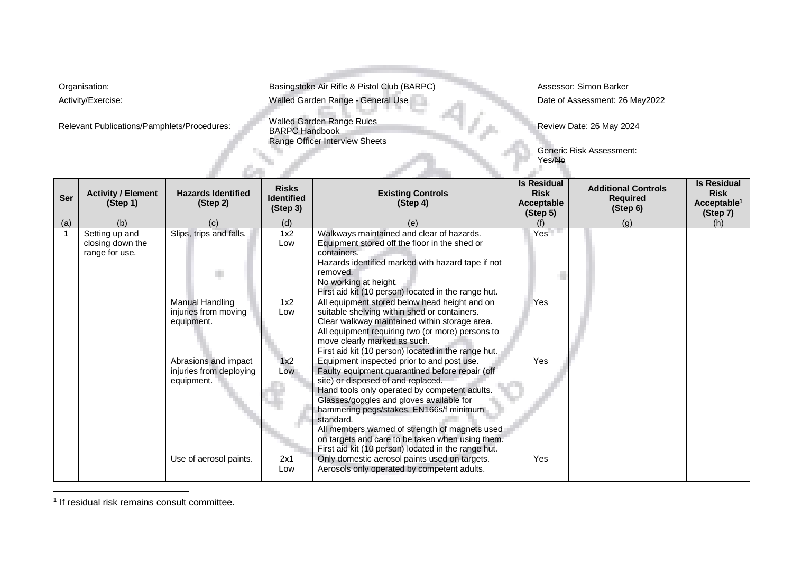Relevant Publications/Pamphlets/Procedures:

Organisation: **Basingstoke Air Rifle & Pistol Club (BARPC)** Assessor: Simon Barker Activity/Exercise: **May2022** Walled Garden Range - General Use Date of Assessment: 26 May2022

> Walled Garden Range Rules<br>BARPC Handbook Range Officer Interview Sheets

ъ.

Review Date: 26 May 2024

r.

Generic Risk Assessment: Yes/No

| Ser | <b>Activity / Element</b><br>(Step 1)                | <b>Hazards Identified</b><br>(Step 2)                         | <b>Risks</b><br><b>Identified</b><br>(Step 3) | <b>Existing Controls</b><br>(Step 4)                                                                                                                                                                                                                                                                                                                                                                                                                  | <b>Is Residual</b><br><b>Risk</b><br><b>Acceptable</b><br>(Step 5) | <b>Additional Controls</b><br><b>Required</b><br>(Step 6) | <b>Is Residual</b><br><b>Risk</b><br>Acceptable <sup>1</sup><br>(Step 7) |
|-----|------------------------------------------------------|---------------------------------------------------------------|-----------------------------------------------|-------------------------------------------------------------------------------------------------------------------------------------------------------------------------------------------------------------------------------------------------------------------------------------------------------------------------------------------------------------------------------------------------------------------------------------------------------|--------------------------------------------------------------------|-----------------------------------------------------------|--------------------------------------------------------------------------|
| (a) | (b)                                                  | (C)                                                           | (d)                                           | (e)                                                                                                                                                                                                                                                                                                                                                                                                                                                   | (f)                                                                | (q)                                                       | (h)                                                                      |
|     | Setting up and<br>closing down the<br>range for use. | Slips, trips and falls.<br>m.                                 | 1x2<br>Low                                    | Walkways maintained and clear of hazards.<br>Equipment stored off the floor in the shed or<br>containers.<br>Hazards identified marked with hazard tape if not<br>removed.<br>No working at height.<br>First aid kit (10 person) located in the range hut.                                                                                                                                                                                            | Yes <sup>T</sup>                                                   |                                                           |                                                                          |
|     |                                                      | <b>Manual Handling</b><br>injuries from moving<br>equipment.  | 1x2<br>Low                                    | All equipment stored below head height and on<br>suitable shelving within shed or containers.<br>Clear walkway maintained within storage area.<br>All equipment requiring two (or more) persons to<br>move clearly marked as such.<br>First aid kit (10 person) located in the range hut.                                                                                                                                                             | Yes                                                                |                                                           |                                                                          |
|     |                                                      | Abrasions and impact<br>injuries from deploying<br>equipment. | 1x2<br>Low                                    | Equipment inspected prior to and post use.<br>Faulty equipment quarantined before repair (off<br>site) or disposed of and replaced.<br>Hand tools only operated by competent adults.<br>Glasses/goggles and gloves available for<br>hammering pegs/stakes. EN166s/f minimum<br>standard.<br>All members warned of strength of magnets used<br>on targets and care to be taken when using them.<br>First aid kit (10 person) located in the range hut. | Yes                                                                |                                                           |                                                                          |
|     |                                                      | Use of aerosol paints.                                        | 2x1<br>Low                                    | Only domestic aerosol paints used on targets.<br>Aerosols only operated by competent adults.                                                                                                                                                                                                                                                                                                                                                          | Yes                                                                |                                                           |                                                                          |

<sup>&</sup>lt;sup>1</sup> If residual risk remains consult committee.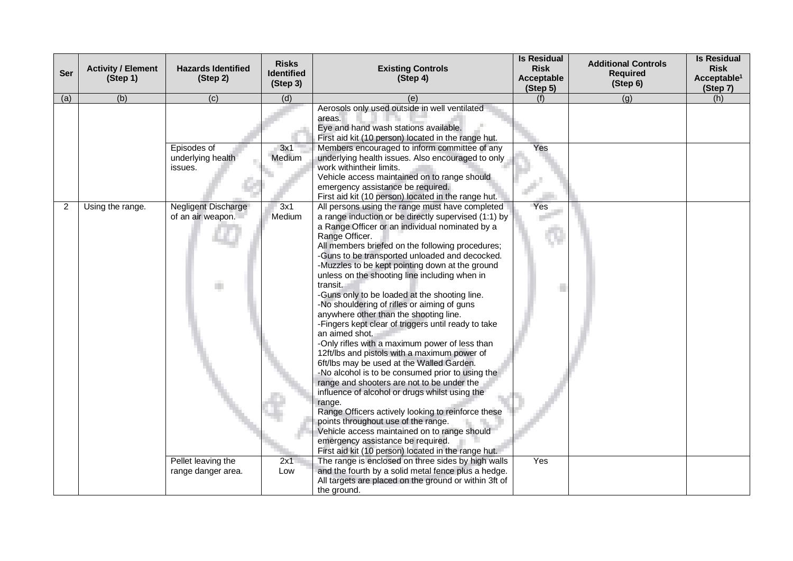| <b>Ser</b> | <b>Activity / Element</b><br>(Step 1) | <b>Hazards Identified</b><br>(Step 2)       | <b>Risks</b><br><b>Identified</b><br>(Step 3) | <b>Existing Controls</b><br>(Step 4)                                                                                                                                                                                                                                                                                                                                                                                                                                                                                                                                                                                                                                                                                                                                                                                                                                                                                                                                                                                                                                                                                                                                        | <b>Is Residual</b><br><b>Risk</b><br><b>Acceptable</b><br>(Step 5) | <b>Additional Controls</b><br><b>Required</b><br>(Step 6) | <b>Is Residual</b><br><b>Risk</b><br>Acceptable <sup>1</sup><br>(Step 7) |
|------------|---------------------------------------|---------------------------------------------|-----------------------------------------------|-----------------------------------------------------------------------------------------------------------------------------------------------------------------------------------------------------------------------------------------------------------------------------------------------------------------------------------------------------------------------------------------------------------------------------------------------------------------------------------------------------------------------------------------------------------------------------------------------------------------------------------------------------------------------------------------------------------------------------------------------------------------------------------------------------------------------------------------------------------------------------------------------------------------------------------------------------------------------------------------------------------------------------------------------------------------------------------------------------------------------------------------------------------------------------|--------------------------------------------------------------------|-----------------------------------------------------------|--------------------------------------------------------------------------|
| (a)        | (b)                                   | (c)                                         | (d)                                           | (e)                                                                                                                                                                                                                                                                                                                                                                                                                                                                                                                                                                                                                                                                                                                                                                                                                                                                                                                                                                                                                                                                                                                                                                         | (f)                                                                | (g)                                                       | (h)                                                                      |
|            |                                       |                                             |                                               | Aerosols only used outside in well ventilated<br>areas.<br>Eye and hand wash stations available.<br>First aid kit (10 person) located in the range hut.                                                                                                                                                                                                                                                                                                                                                                                                                                                                                                                                                                                                                                                                                                                                                                                                                                                                                                                                                                                                                     |                                                                    |                                                           |                                                                          |
|            |                                       | Episodes of<br>underlying health<br>issues. | 3x1<br>Medium                                 | Members encouraged to inform committee of any<br>underlying health issues. Also encouraged to only<br>work withintheir limits.<br>Vehicle access maintained on to range should<br>emergency assistance be required.<br>First aid kit (10 person) located in the range hut.                                                                                                                                                                                                                                                                                                                                                                                                                                                                                                                                                                                                                                                                                                                                                                                                                                                                                                  | Yes                                                                |                                                           |                                                                          |
| 2          | Using the range.                      | Negligent Discharge<br>of an air weapon.    | 3x1<br>Medium                                 | All persons using the range must have completed<br>a range induction or be directly supervised (1:1) by<br>a Range Officer or an individual nominated by a<br>Range Officer.<br>All members briefed on the following procedures;<br>-Guns to be transported unloaded and decocked.<br>-Muzzles to be kept pointing down at the ground<br>unless on the shooting line including when in<br>transit.<br>-Guns only to be loaded at the shooting line.<br>-No shouldering of rifles or aiming of guns<br>anywhere other than the shooting line.<br>-Fingers kept clear of triggers until ready to take<br>an aimed shot.<br>-Only rifles with a maximum power of less than<br>12ft/lbs and pistols with a maximum power of<br>6ft/lbs may be used at the Walled Garden.<br>-No alcohol is to be consumed prior to using the<br>range and shooters are not to be under the<br>influence of alcohol or drugs whilst using the<br>range.<br>Range Officers actively looking to reinforce these<br>points throughout use of the range.<br>Vehicle access maintained on to range should<br>emergency assistance be required.<br>First aid kit (10 person) located in the range hut. | Yes                                                                |                                                           |                                                                          |
|            |                                       | Pellet leaving the<br>range danger area.    | 2x1<br>Low                                    | The range is enclosed on three sides by high walls<br>and the fourth by a solid metal fence plus a hedge.<br>All targets are placed on the ground or within 3ft of<br>the ground.                                                                                                                                                                                                                                                                                                                                                                                                                                                                                                                                                                                                                                                                                                                                                                                                                                                                                                                                                                                           | Yes                                                                |                                                           |                                                                          |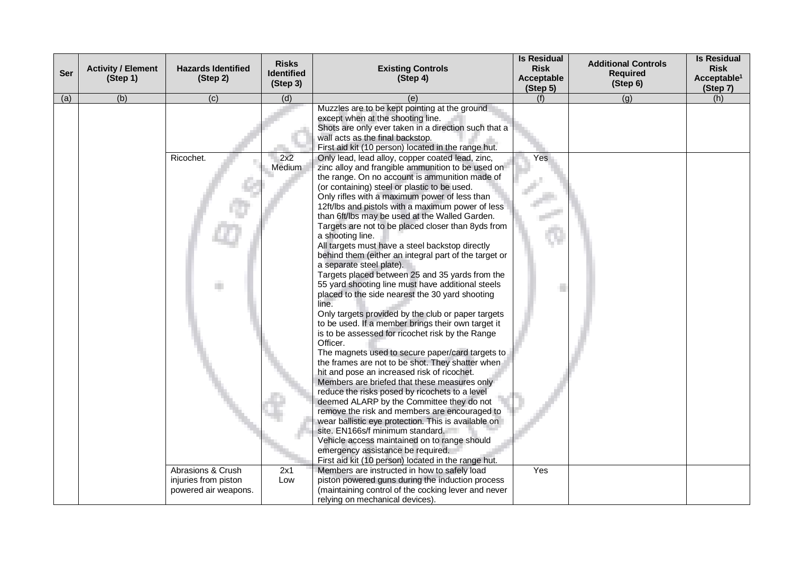| <b>Ser</b> | <b>Activity / Element</b><br>(Step 1) | <b>Hazards Identified</b><br>(Step 2)     | <b>Risks</b><br><b>Identified</b><br>(Step 3) | <b>Existing Controls</b><br>(Step 4)                                                                                                                                                                                                                                                                                                                                                                                                                                                                                                                                                                                                                                                                                                                                                                                                                                                                                                                                                                                                                                                                                                                                                                                                                                                                                                                                                | <b>Is Residual</b><br><b>Risk</b><br>Acceptable<br>(Step 5) | <b>Additional Controls</b><br><b>Required</b><br>(Step 6) | <b>Is Residual</b><br><b>Risk</b><br>Acceptable <sup>1</sup><br>(Step 7) |
|------------|---------------------------------------|-------------------------------------------|-----------------------------------------------|-------------------------------------------------------------------------------------------------------------------------------------------------------------------------------------------------------------------------------------------------------------------------------------------------------------------------------------------------------------------------------------------------------------------------------------------------------------------------------------------------------------------------------------------------------------------------------------------------------------------------------------------------------------------------------------------------------------------------------------------------------------------------------------------------------------------------------------------------------------------------------------------------------------------------------------------------------------------------------------------------------------------------------------------------------------------------------------------------------------------------------------------------------------------------------------------------------------------------------------------------------------------------------------------------------------------------------------------------------------------------------------|-------------------------------------------------------------|-----------------------------------------------------------|--------------------------------------------------------------------------|
| (a)        | (b)                                   | (c)                                       | (d)                                           | (e)                                                                                                                                                                                                                                                                                                                                                                                                                                                                                                                                                                                                                                                                                                                                                                                                                                                                                                                                                                                                                                                                                                                                                                                                                                                                                                                                                                                 | (f)                                                         | (g)                                                       | (h)                                                                      |
|            |                                       |                                           |                                               | Muzzles are to be kept pointing at the ground<br>except when at the shooting line.<br>Shots are only ever taken in a direction such that a<br>wall acts as the final backstop.<br>First aid kit (10 person) located in the range hut.                                                                                                                                                                                                                                                                                                                                                                                                                                                                                                                                                                                                                                                                                                                                                                                                                                                                                                                                                                                                                                                                                                                                               |                                                             |                                                           |                                                                          |
|            |                                       | Ricochet.                                 | 2x2<br>Medium                                 | Only lead, lead alloy, copper coated lead, zinc,<br>zinc alloy and frangible ammunition to be used on<br>the range. On no account is ammunition made of<br>(or containing) steel or plastic to be used.<br>Only rifles with a maximum power of less than<br>12ft/lbs and pistols with a maximum power of less<br>than 6ft/lbs may be used at the Walled Garden.<br>Targets are not to be placed closer than 8yds from<br>a shooting line.<br>All targets must have a steel backstop directly<br>behind them (either an integral part of the target or<br>a separate steel plate).<br>Targets placed between 25 and 35 yards from the<br>55 yard shooting line must have additional steels<br>placed to the side nearest the 30 yard shooting<br>line.<br>Only targets provided by the club or paper targets<br>to be used. If a member brings their own target it<br>is to be assessed for ricochet risk by the Range<br>Officer.<br>The magnets used to secure paper/card targets to<br>the frames are not to be shot. They shatter when<br>hit and pose an increased risk of ricochet.<br>Members are briefed that these measures only<br>reduce the risks posed by ricochets to a level<br>deemed ALARP by the Committee they do not<br>remove the risk and members are encouraged to<br>wear ballistic eye protection. This is available on<br>site. EN166s/f minimum standard. | Yes                                                         |                                                           |                                                                          |
|            |                                       |                                           |                                               | Vehicle access maintained on to range should<br>emergency assistance be required.<br>First aid kit (10 person) located in the range hut.                                                                                                                                                                                                                                                                                                                                                                                                                                                                                                                                                                                                                                                                                                                                                                                                                                                                                                                                                                                                                                                                                                                                                                                                                                            |                                                             |                                                           |                                                                          |
|            |                                       | Abrasions & Crush<br>injuries from piston | 2x1<br>Low                                    | Members are instructed in how to safely load<br>piston powered guns during the induction process                                                                                                                                                                                                                                                                                                                                                                                                                                                                                                                                                                                                                                                                                                                                                                                                                                                                                                                                                                                                                                                                                                                                                                                                                                                                                    | Yes                                                         |                                                           |                                                                          |
|            |                                       | powered air weapons.                      |                                               | (maintaining control of the cocking lever and never<br>relying on mechanical devices).                                                                                                                                                                                                                                                                                                                                                                                                                                                                                                                                                                                                                                                                                                                                                                                                                                                                                                                                                                                                                                                                                                                                                                                                                                                                                              |                                                             |                                                           |                                                                          |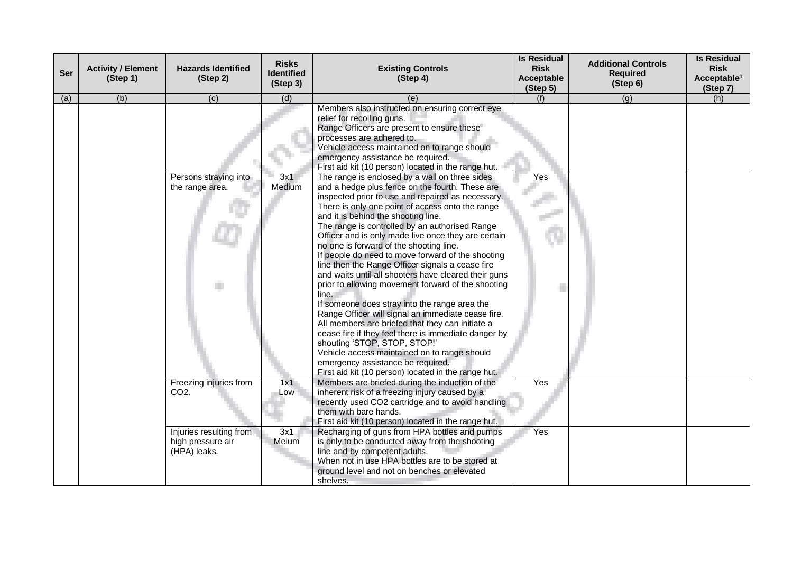| Ser | <b>Activity / Element</b><br>(Step 1) | <b>Hazards Identified</b><br>(Step 2)                        | <b>Risks</b><br><b>Identified</b><br>(Step 3) | <b>Existing Controls</b><br>(Step 4)                                                                                                                                                                                                                                                                                                                                                                                                                                                                                                                                                                                                                                                                                                                                                                                                                                                                                                                                               | <b>Is Residual</b><br><b>Risk</b><br>Acceptable<br>(Step 5) | <b>Additional Controls</b><br><b>Required</b><br>(Step 6) | <b>Is Residual</b><br><b>Risk</b><br>Acceptable <sup>1</sup><br>(Step 7) |
|-----|---------------------------------------|--------------------------------------------------------------|-----------------------------------------------|------------------------------------------------------------------------------------------------------------------------------------------------------------------------------------------------------------------------------------------------------------------------------------------------------------------------------------------------------------------------------------------------------------------------------------------------------------------------------------------------------------------------------------------------------------------------------------------------------------------------------------------------------------------------------------------------------------------------------------------------------------------------------------------------------------------------------------------------------------------------------------------------------------------------------------------------------------------------------------|-------------------------------------------------------------|-----------------------------------------------------------|--------------------------------------------------------------------------|
| (a) | (b)                                   | (c)                                                          | (d)                                           | (e)                                                                                                                                                                                                                                                                                                                                                                                                                                                                                                                                                                                                                                                                                                                                                                                                                                                                                                                                                                                | (f)                                                         | (g)                                                       | (h)                                                                      |
|     |                                       | Persons straying into                                        | 3x1                                           | Members also instructed on ensuring correct eye<br>relief for recoiling guns.<br>Range Officers are present to ensure these<br>processes are adhered to.<br>Vehicle access maintained on to range should<br>emergency assistance be required.<br>First aid kit (10 person) located in the range hut.<br>The range is enclosed by a wall on three sides                                                                                                                                                                                                                                                                                                                                                                                                                                                                                                                                                                                                                             | Yes                                                         |                                                           |                                                                          |
|     |                                       | the range area.                                              | Medium                                        | and a hedge plus fence on the fourth. These are<br>inspected prior to use and repaired as necessary.<br>There is only one point of access onto the range<br>and it is behind the shooting line.<br>The range is controlled by an authorised Range<br>Officer and is only made live once they are certain<br>no one is forward of the shooting line.<br>If people do need to move forward of the shooting<br>line then the Range Officer signals a cease fire<br>and waits until all shooters have cleared their guns<br>prior to allowing movement forward of the shooting<br>line.<br>If someone does stray into the range area the<br>Range Officer will signal an immediate cease fire.<br>All members are briefed that they can initiate a<br>cease fire if they feel there is immediate danger by<br>shouting 'STOP, STOP, STOP!'<br>Vehicle access maintained on to range should<br>emergency assistance be required.<br>First aid kit (10 person) located in the range hut. |                                                             |                                                           |                                                                          |
|     |                                       | Freezing injuries from<br>CO <sub>2</sub> .                  | 1x1<br>Low                                    | Members are briefed during the induction of the<br>inherent risk of a freezing injury caused by a<br>recently used CO2 cartridge and to avoid handling<br>them with bare hands.<br>First aid kit (10 person) located in the range hut.                                                                                                                                                                                                                                                                                                                                                                                                                                                                                                                                                                                                                                                                                                                                             | Yes                                                         |                                                           |                                                                          |
|     |                                       | Injuries resulting from<br>high pressure air<br>(HPA) leaks. | 3x1<br>Meium                                  | Recharging of guns from HPA bottles and pumps<br>is only to be conducted away from the shooting<br>line and by competent adults.<br>When not in use HPA bottles are to be stored at<br>ground level and not on benches or elevated<br>shelves.                                                                                                                                                                                                                                                                                                                                                                                                                                                                                                                                                                                                                                                                                                                                     | Yes                                                         |                                                           |                                                                          |